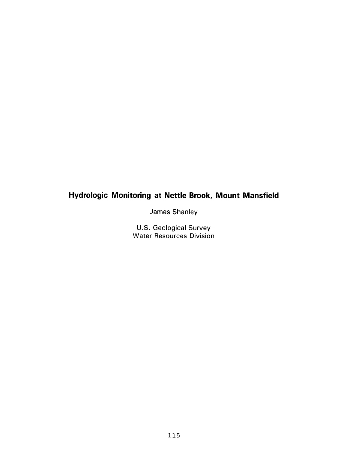# Hydrologic Monitoring at Nettle Brook, Mount Mansfield

James Shanley

U.S. Geological Survey<br>Water Resources Division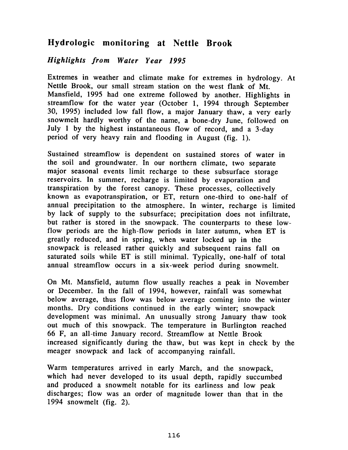## Hydrologic monitoring at Nettle Brook

## Highlights from Water Year 1995

Extremes in weather and climate make for extremes in hydrology. At Nettle Brook, our small stream station on the west flank of Mt. Mansfield, 1995 had one extreme followed by another. Highlights in streamflow for the water year (October 1, 1994 through September 30, 1995) included low fall flow, a major January thaw, a very early snowmelt hardly worthy of the name, a bone-dry June, followed on July 1 by the highest instantaneous flow of record, and a 3-day period of very heavy rain and flooding in August (fig. 1).

Sustained streamflow is dependent on sustained stores of water in the soil and groundwater. In our northern climate, two separate major seasonal events limit recharge to these subsurface storage reservoirs. In summer, recharge is limited by evaporation and transpiration by the forest canopy. These processes, collectively known as evapotranspiration, or ET, return one-third to one-half of annual precipitation to the atmosphere. In winter, recharge is limited by lack of supply to the subsurface; precipitation does not infiltrate, but rather is stored in the snowpack. The counterparts to these lowflow periods are the high-flow periods in later autumn, when ET is greatly reduced, and in spring, when water locked up in the snowpack is released rather quickly and subsequent rains fall on saturated soils while ET is still minimal. Typically, one-half of total annual streamflow occurs in a six-week period during snowmelt.

On Mt. Mansfield, autumn flow usually reaches a peak in November or December. In the fall of 1994, however, rainfall was somewhat below average, thus flow was below average coming into the winter months. Dry conditions continued in the early winter; snowpack development was minimal. An unusually strong January thaw took out much of this snowpack. The temperature in Burlington reached 66 F, an all-time January record. Streamflow at Nettle Brook increased significantly during the thaw, but was kept in check by the meager snowpack and lack of accompanying rainfall.

Warm temperatures arrived in early March, and the snowpack, which had never developed to its usual depth, rapidly succumbed and produced a snowmelt notable for its earliness and low peak discharges; flow was an order of magnitude lower than that in the 1994 snowmelt (fig. 2).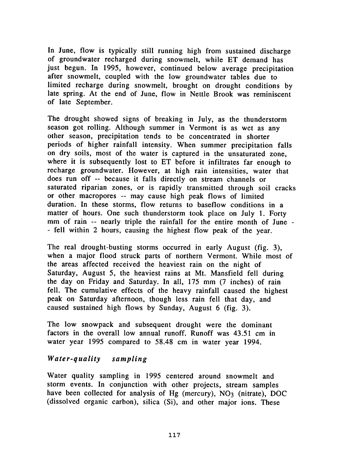In June, flow is typically still running high from sustained discharge of groundwater recharged during snowmelt, while ET demand has just begun. In 1995, however, continued below average precipitation after snowmelt, coupled with the low groundwater tables due to limited recharge during snowmelt, brought on drought conditions by late spring. At the end of June, flow in Nettle Brook was reminiscent of late September.

The drought showed signs of breaking in July, as the thunderstorm season got rolling. Although summer in Vermont is as wet as any other season, precipitation tends to be concentrated in shorter periods of higher rainfall intensity. When summer precipitation falls on dry soils, most of the water is captured in the unsaturated zone, where it is subsequently lost to ET before it infiltrates far enough to recharge groundwater. However, at high rain intensities, water that does run off --because it falls directly on stream channels or saturated riparian zones, or is rapidly transmitted through soil cracks or other macropores --may cause high peak flows of limited duration. In these storms, flow returns to baseflow conditions in a matter of hours. One such thunderstorm took place on July I. Forty mm of rain -- nearly triple the rainfall for the entire month of June -- fell within 2 hours, causing the highest flow peak of the year.

The real drought-busting storms occurred in early August (fig. 3), when a major flood struck parts of northern Vermont. While most of the areas affected received the heaviest rain on the night of Saturday, August 5, the heaviest rains at Mt. Mansfield fell during the day on Friday and Saturday. In all, 175 mm (7 inches) of rain fell. The cumulative effects of the heavy rainfall caused the highest peak on Saturday afternoon, though less rain fell that day, and caused sustained high flows by Sunday, August 6 (fig. 3).

The low snowpack and subsequent drought were the dominant factors in the overall low annual runoff. Runoff was 43.51 cm in water year 1995 compared to 58.48 cm in water year 1994.

#### Water-quality sampling

Water quality sampling in 1995 centered around snowmelt and storm events. In conjunction with other projects, stream samples have been collected for analysis of Hg (mercury), NO<sub>3</sub> (nitrate), DOC (dissolved organic carbon), silica (Si), and other major ions. These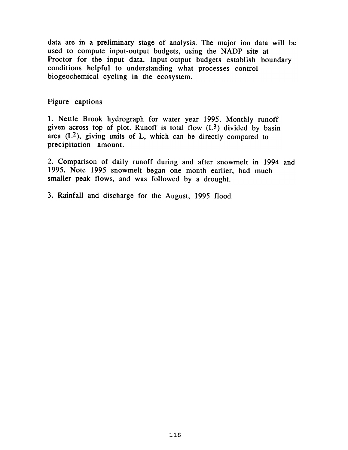data are in a preliminary stage of analysis. The major ion data will be used to compute input-output budgets, using the NADP site at Proctor for the input data. Input-output budgets establish boundary conditions helpful to understanding what processes control biogeochemical cycling in the ecosystem.

### Figure captions

1. Nettle Brook hydrograph for water year 1995. Monthly runoff given across top of plot. Runoff is total flow  $(L<sup>3</sup>)$  divided by basin area  $(L<sup>2</sup>)$ , giving units of L, which can be directly compared to precipitation amount.

2. Comparison of daily runoff during and after snowmelt in 1994 and 1995. Note 1995 snowmelt began one month earlier, had much smaller peak flows, and was followed by a drought.

3. Rainfall and discharge for the August, 1995 flood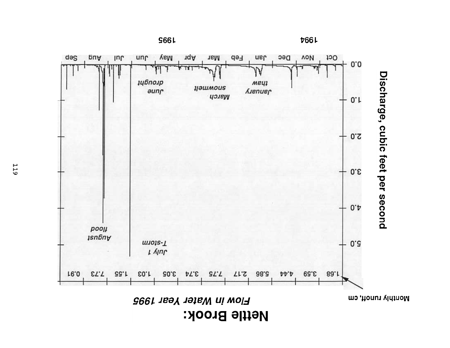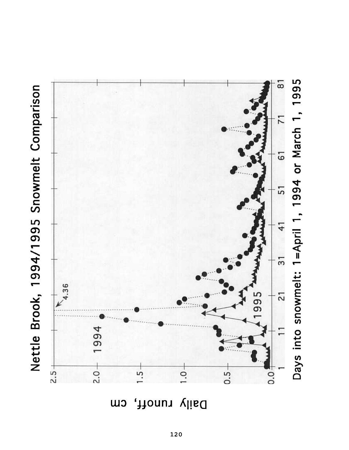



LnuoĮį cw Daily